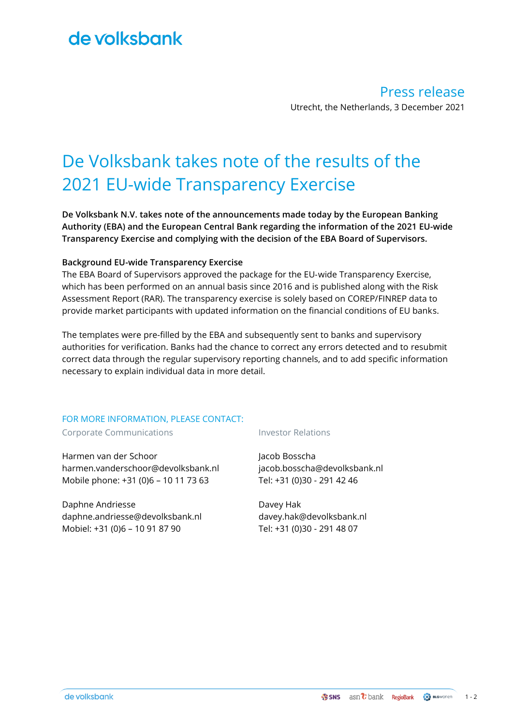## de volksbank

Press release Utrecht, the Netherlands, 3 December 2021

# De Volksbank takes note of the results of the 2021 EU-wide Transparency Exercise

**De Volksbank N.V. takes note of the announcements made today by the European Banking Authority (EBA) and the European Central Bank regarding the information of the 2021 EU-wide Transparency Exercise and complying with the decision of the EBA Board of Supervisors.**

### **Background EU-wide Transparency Exercise**

The EBA Board of Supervisors approved the package for the EU‐wide Transparency Exercise, which has been performed on an annual basis since 2016 and is published along with the Risk Assessment Report (RAR). The transparency exercise is solely based on COREP/FINREP data to provide market participants with updated information on the financial conditions of EU banks.

The templates were pre-filled by the EBA and subsequently sent to banks and supervisory authorities for verification. Banks had the chance to correct any errors detected and to resubmit correct data through the regular supervisory reporting channels, and to add specific information necessary to explain individual data in more detail.

### FOR MORE INFORMATION, PLEASE CONTACT:

Corporate Communications The Corporate Communications

Harmen van der Schoor harmen.vanderschoor@devolksbank.nl Mobile phone: +31 (0)6 – 10 11 73 63

Daphne Andriesse daphne.andriesse@devolksbank.nl Mobiel: +31 (0)6 – 10 91 87 90

Jacob Bosscha jacob.bosscha@devolksbank.nl Tel: +31 (0)30 - 291 42 46

Davey Hak davey.hak@devolksbank.nl Tel: +31 (0)30 - 291 48 07